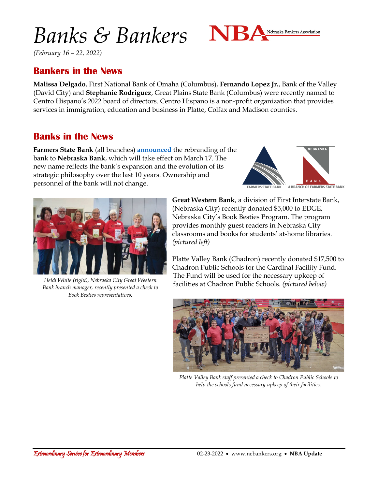# *Banks & Bankers*



*(February 16 – 22, 2022)*

## **Bankers in the News**

**Malissa Delgado**, First National Bank of Omaha (Columbus), **Fernando Lopez Jr.**, Bank of the Valley (David City) and **Stephanie Rodriguez**, Great Plains State Bank (Columbus) were recently named to Centro Hispano's 2022 board of directors. Centro Hispano is a non-profit organization that provides services in immigration, education and business in Platte, Colfax and Madison counties.

#### **Banks in the News**

**Farmers State Bank** (all branches) **[announced](https://www.fsb-ne.com/notice-details.html)** the rebranding of the bank to **Nebraska Bank**, which will take effect on March 17. The new name reflects the bank's expansion and the evolution of its strategic philosophy over the last 10 years. Ownership and personnel of the bank will not change.





*Bank branch manager, recently presented a check to Book Besties representatives.*

**Great Western Bank**, a division of First Interstate Bank, (Nebraska City) recently donated \$5,000 to EDGE, Nebraska City's Book Besties Program. The program provides monthly guest readers in Nebraska City classrooms and books for students' at-home libraries. *(pictured left)*

Platte Valley Bank (Chadron) recently donated \$17,500 to Chadron Public Schools for the Cardinal Facility Fund. The Fund will be used for the necessary upkeep of facilities at Chadron Public Schools. *(pictured below) Heidi White (right), Nebraska City Great Western* 



*Platte Valley Bank staff presented a check to Chadron Public Schools to help the schools fund necessary upkeep of their facilities.*